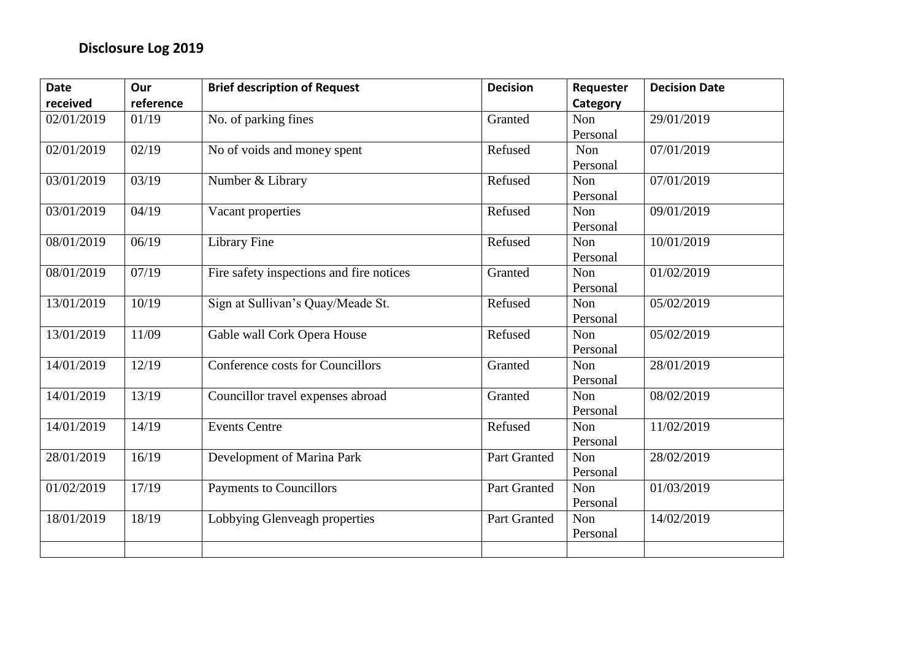| <b>Date</b> | Our       | <b>Brief description of Request</b>      | <b>Decision</b> | Requester  | <b>Decision Date</b> |
|-------------|-----------|------------------------------------------|-----------------|------------|----------------------|
| received    | reference |                                          |                 | Category   |                      |
| 02/01/2019  | 01/19     | No. of parking fines                     | Granted         | Non        | 29/01/2019           |
|             |           |                                          |                 | Personal   |                      |
| 02/01/2019  | 02/19     | No of voids and money spent              | Refused         | Non        | 07/01/2019           |
|             |           |                                          |                 | Personal   |                      |
| 03/01/2019  | 03/19     | Number & Library                         | Refused         | Non        | 07/01/2019           |
|             |           |                                          |                 | Personal   |                      |
| 03/01/2019  | 04/19     | Vacant properties                        | Refused         | Non        | 09/01/2019           |
|             |           |                                          |                 | Personal   |                      |
| 08/01/2019  | 06/19     | <b>Library Fine</b>                      | Refused         | Non        | 10/01/2019           |
|             |           |                                          |                 | Personal   |                      |
| 08/01/2019  | 07/19     | Fire safety inspections and fire notices | Granted         | <b>Non</b> | 01/02/2019           |
|             |           |                                          |                 | Personal   |                      |
| 13/01/2019  | 10/19     | Sign at Sullivan's Quay/Meade St.        | Refused         | Non        | 05/02/2019           |
|             |           |                                          |                 | Personal   |                      |
| 13/01/2019  | 11/09     | Gable wall Cork Opera House              | Refused         | Non        | 05/02/2019           |
|             |           |                                          |                 | Personal   |                      |
| 14/01/2019  | 12/19     | Conference costs for Councillors         | Granted         | Non        | 28/01/2019           |
|             |           |                                          |                 | Personal   |                      |
| 14/01/2019  | 13/19     | Councillor travel expenses abroad        | Granted         | Non        | 08/02/2019           |
|             |           |                                          |                 | Personal   |                      |
| 14/01/2019  | 14/19     | <b>Events Centre</b>                     | Refused         | Non        | 11/02/2019           |
|             |           |                                          |                 | Personal   |                      |
| 28/01/2019  | 16/19     | Development of Marina Park               | Part Granted    | Non        | 28/02/2019           |
|             |           |                                          |                 | Personal   |                      |
| 01/02/2019  | 17/19     | <b>Payments to Councillors</b>           | Part Granted    | Non        | 01/03/2019           |
|             |           |                                          |                 | Personal   |                      |
| 18/01/2019  | 18/19     | Lobbying Glenveagh properties            | Part Granted    | Non        | 14/02/2019           |
|             |           |                                          |                 | Personal   |                      |
|             |           |                                          |                 |            |                      |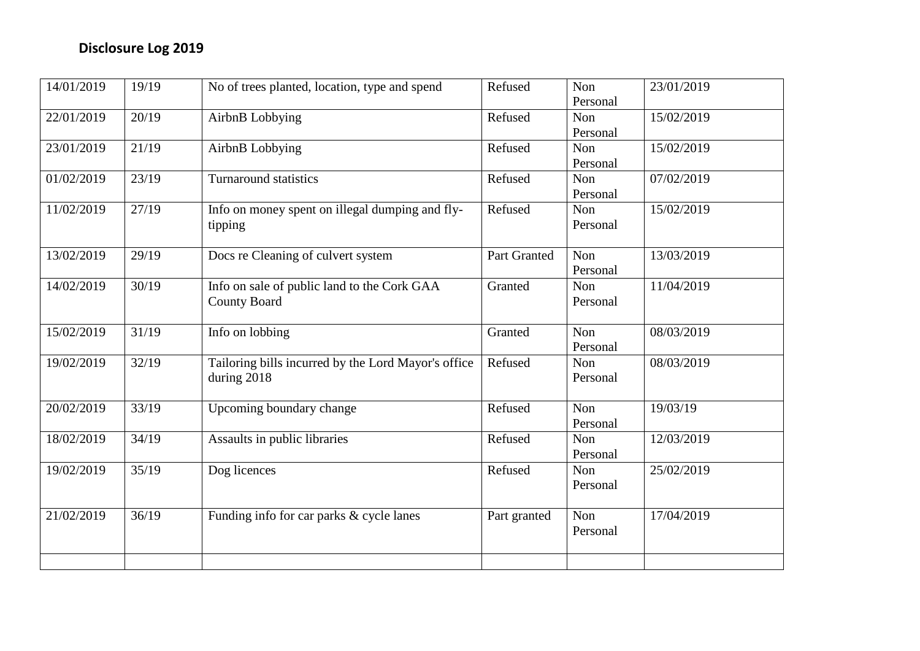| 14/01/2019 | 19/19 | No of trees planted, location, type and spend       | Refused      | Non      | 23/01/2019 |
|------------|-------|-----------------------------------------------------|--------------|----------|------------|
|            |       |                                                     |              | Personal |            |
| 22/01/2019 | 20/19 | AirbnB Lobbying                                     | Refused      | Non      | 15/02/2019 |
|            |       |                                                     |              | Personal |            |
| 23/01/2019 | 21/19 | AirbnB Lobbying                                     | Refused      | Non      | 15/02/2019 |
|            |       |                                                     |              | Personal |            |
| 01/02/2019 | 23/19 | <b>Turnaround statistics</b>                        | Refused      | Non      | 07/02/2019 |
|            |       |                                                     |              | Personal |            |
| 11/02/2019 | 27/19 | Info on money spent on illegal dumping and fly-     | Refused      | Non      | 15/02/2019 |
|            |       | tipping                                             |              | Personal |            |
|            |       |                                                     |              |          |            |
| 13/02/2019 | 29/19 | Docs re Cleaning of culvert system                  | Part Granted | Non      | 13/03/2019 |
|            |       |                                                     |              | Personal |            |
| 14/02/2019 | 30/19 | Info on sale of public land to the Cork GAA         | Granted      | Non      | 11/04/2019 |
|            |       | <b>County Board</b>                                 |              | Personal |            |
|            |       |                                                     |              |          |            |
| 15/02/2019 | 31/19 | Info on lobbing                                     | Granted      | Non      | 08/03/2019 |
|            |       |                                                     |              | Personal |            |
| 19/02/2019 | 32/19 | Tailoring bills incurred by the Lord Mayor's office | Refused      | Non      | 08/03/2019 |
|            |       | during 2018                                         |              | Personal |            |
|            |       |                                                     |              |          |            |
| 20/02/2019 | 33/19 | Upcoming boundary change                            | Refused      | Non      | 19/03/19   |
|            |       |                                                     |              | Personal |            |
| 18/02/2019 | 34/19 | Assaults in public libraries                        | Refused      | Non      | 12/03/2019 |
|            |       |                                                     |              | Personal |            |
| 19/02/2019 | 35/19 | Dog licences                                        | Refused      | Non      | 25/02/2019 |
|            |       |                                                     |              | Personal |            |
|            |       |                                                     |              |          |            |
| 21/02/2019 | 36/19 | Funding info for car parks & cycle lanes            | Part granted | Non      | 17/04/2019 |
|            |       |                                                     |              | Personal |            |
|            |       |                                                     |              |          |            |
|            |       |                                                     |              |          |            |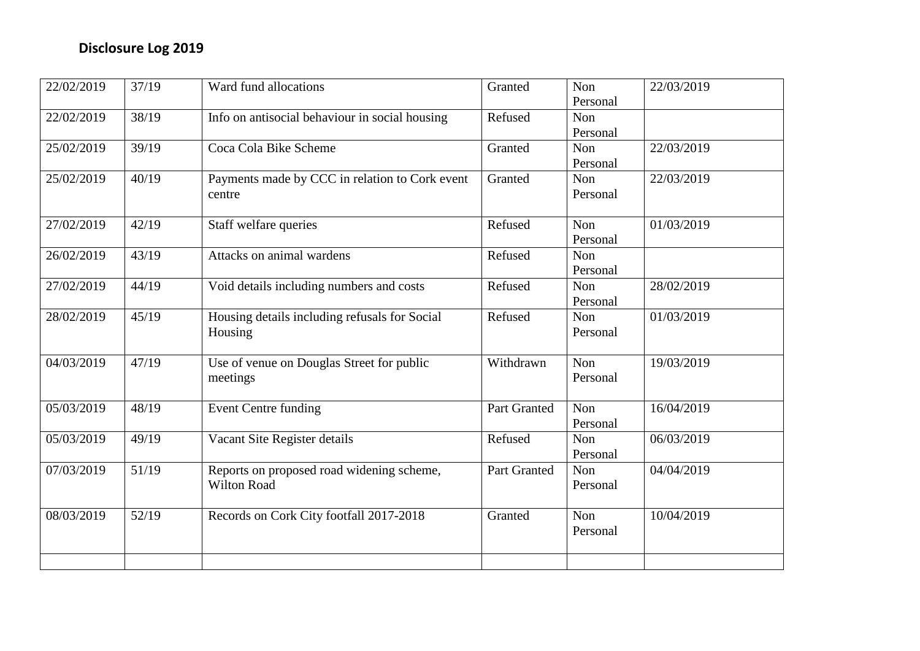| 22/02/2019 | 37/19 | Ward fund allocations                          | Granted      | Non      | 22/03/2019 |
|------------|-------|------------------------------------------------|--------------|----------|------------|
|            |       |                                                |              | Personal |            |
| 22/02/2019 | 38/19 | Info on antisocial behaviour in social housing | Refused      | Non      |            |
|            |       |                                                |              | Personal |            |
| 25/02/2019 | 39/19 | Coca Cola Bike Scheme                          | Granted      | Non      | 22/03/2019 |
|            |       |                                                |              | Personal |            |
| 25/02/2019 | 40/19 | Payments made by CCC in relation to Cork event | Granted      | Non      | 22/03/2019 |
|            |       | centre                                         |              | Personal |            |
|            |       |                                                |              |          |            |
| 27/02/2019 | 42/19 | Staff welfare queries                          | Refused      | Non      | 01/03/2019 |
|            |       |                                                |              | Personal |            |
| 26/02/2019 | 43/19 | Attacks on animal wardens                      | Refused      | Non      |            |
|            |       |                                                |              | Personal |            |
| 27/02/2019 | 44/19 | Void details including numbers and costs       | Refused      | Non      | 28/02/2019 |
|            |       |                                                |              | Personal |            |
| 28/02/2019 | 45/19 | Housing details including refusals for Social  | Refused      | Non      | 01/03/2019 |
|            |       | Housing                                        |              | Personal |            |
|            |       |                                                |              |          |            |
| 04/03/2019 | 47/19 | Use of venue on Douglas Street for public      | Withdrawn    | Non      | 19/03/2019 |
|            |       | meetings                                       |              | Personal |            |
|            |       |                                                |              |          |            |
| 05/03/2019 | 48/19 | <b>Event Centre funding</b>                    | Part Granted | Non      | 16/04/2019 |
|            |       |                                                |              | Personal |            |
| 05/03/2019 | 49/19 | Vacant Site Register details                   | Refused      | Non      | 06/03/2019 |
|            |       |                                                |              | Personal |            |
| 07/03/2019 | 51/19 | Reports on proposed road widening scheme,      | Part Granted | Non      | 04/04/2019 |
|            |       | <b>Wilton Road</b>                             |              | Personal |            |
|            |       |                                                |              |          |            |
| 08/03/2019 | 52/19 | Records on Cork City footfall 2017-2018        | Granted      | Non      | 10/04/2019 |
|            |       |                                                |              | Personal |            |
|            |       |                                                |              |          |            |
|            |       |                                                |              |          |            |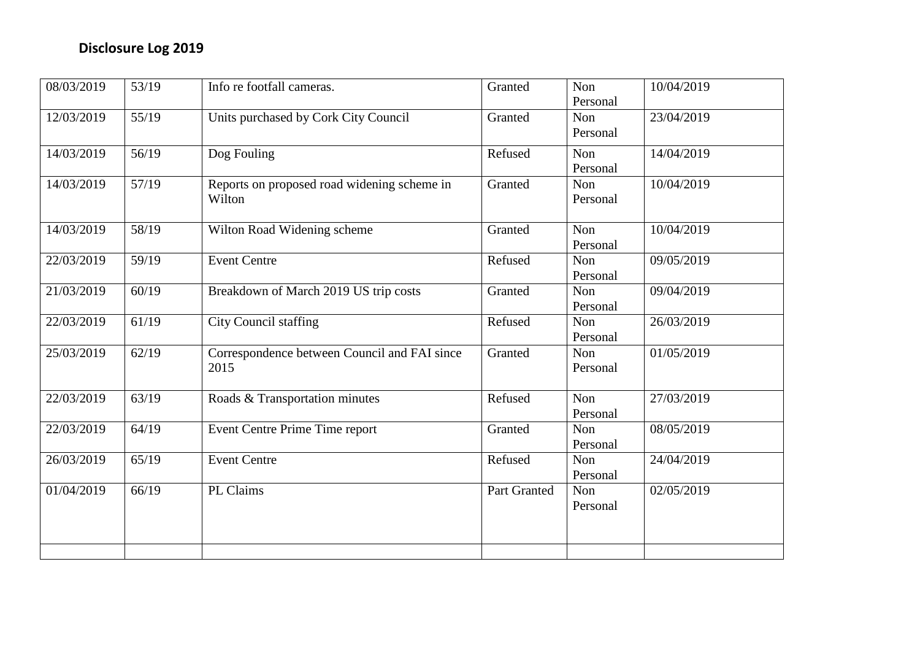| 08/03/2019 | 53/19 | Info re footfall cameras.                             | Granted      | Non<br>Personal | 10/04/2019 |
|------------|-------|-------------------------------------------------------|--------------|-----------------|------------|
| 12/03/2019 | 55/19 | Units purchased by Cork City Council                  | Granted      | Non<br>Personal | 23/04/2019 |
| 14/03/2019 | 56/19 | Dog Fouling                                           | Refused      | Non<br>Personal | 14/04/2019 |
| 14/03/2019 | 57/19 | Reports on proposed road widening scheme in<br>Wilton | Granted      | Non<br>Personal | 10/04/2019 |
| 14/03/2019 | 58/19 | Wilton Road Widening scheme                           | Granted      | Non<br>Personal | 10/04/2019 |
| 22/03/2019 | 59/19 | <b>Event Centre</b>                                   | Refused      | Non<br>Personal | 09/05/2019 |
| 21/03/2019 | 60/19 | Breakdown of March 2019 US trip costs                 | Granted      | Non<br>Personal | 09/04/2019 |
| 22/03/2019 | 61/19 | City Council staffing                                 | Refused      | Non<br>Personal | 26/03/2019 |
| 25/03/2019 | 62/19 | Correspondence between Council and FAI since<br>2015  | Granted      | Non<br>Personal | 01/05/2019 |
| 22/03/2019 | 63/19 | Roads & Transportation minutes                        | Refused      | Non<br>Personal | 27/03/2019 |
| 22/03/2019 | 64/19 | Event Centre Prime Time report                        | Granted      | Non<br>Personal | 08/05/2019 |
| 26/03/2019 | 65/19 | <b>Event Centre</b>                                   | Refused      | Non<br>Personal | 24/04/2019 |
| 01/04/2019 | 66/19 | PL Claims                                             | Part Granted | Non<br>Personal | 02/05/2019 |
|            |       |                                                       |              |                 |            |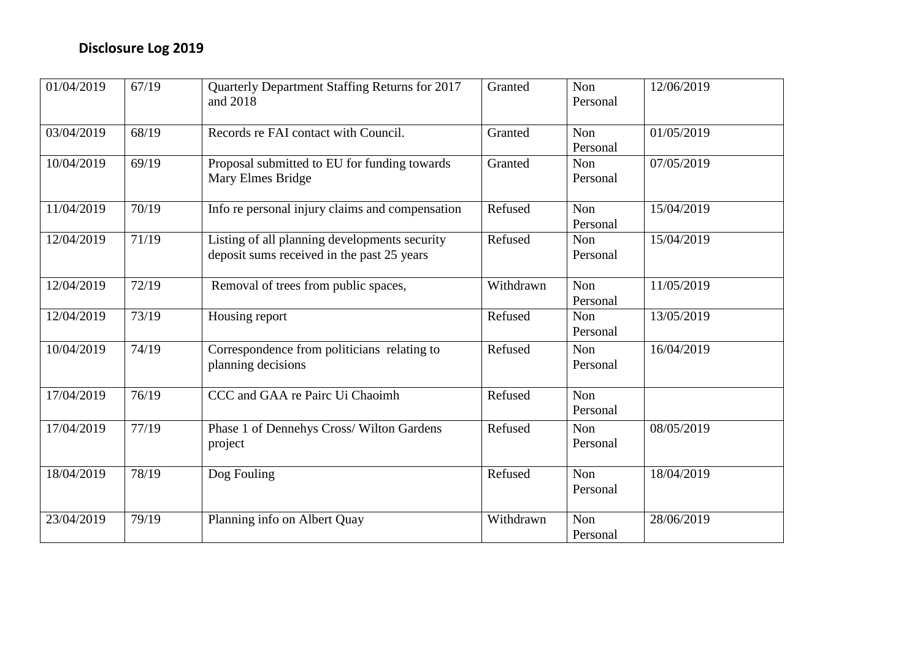| 01/04/2019 | 67/19 | Quarterly Department Staffing Returns for 2017<br>and 2018                                  | Granted   | Non<br>Personal        | 12/06/2019 |
|------------|-------|---------------------------------------------------------------------------------------------|-----------|------------------------|------------|
| 03/04/2019 | 68/19 | Records re FAI contact with Council.                                                        | Granted   | <b>Non</b><br>Personal | 01/05/2019 |
| 10/04/2019 | 69/19 | Proposal submitted to EU for funding towards<br>Mary Elmes Bridge                           | Granted   | Non<br>Personal        | 07/05/2019 |
| 11/04/2019 | 70/19 | Info re personal injury claims and compensation                                             | Refused   | Non<br>Personal        | 15/04/2019 |
| 12/04/2019 | 71/19 | Listing of all planning developments security<br>deposit sums received in the past 25 years | Refused   | Non<br>Personal        | 15/04/2019 |
| 12/04/2019 | 72/19 | Removal of trees from public spaces,                                                        | Withdrawn | Non<br>Personal        | 11/05/2019 |
| 12/04/2019 | 73/19 | Housing report                                                                              | Refused   | Non<br>Personal        | 13/05/2019 |
| 10/04/2019 | 74/19 | Correspondence from politicians relating to<br>planning decisions                           | Refused   | Non<br>Personal        | 16/04/2019 |
| 17/04/2019 | 76/19 | CCC and GAA re Pairc Ui Chaoimh                                                             | Refused   | Non<br>Personal        |            |
| 17/04/2019 | 77/19 | Phase 1 of Dennehys Cross/ Wilton Gardens<br>project                                        | Refused   | Non<br>Personal        | 08/05/2019 |
| 18/04/2019 | 78/19 | Dog Fouling                                                                                 | Refused   | Non<br>Personal        | 18/04/2019 |
| 23/04/2019 | 79/19 | Planning info on Albert Quay                                                                | Withdrawn | Non<br>Personal        | 28/06/2019 |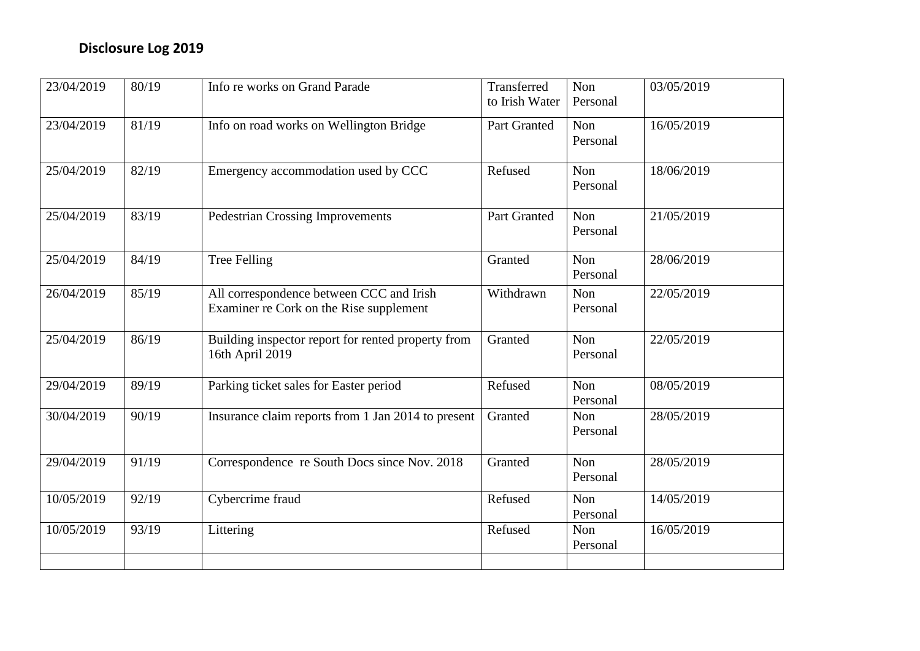| 23/04/2019 | 80/19 | Info re works on Grand Parade                                                       | Transferred<br>to Irish Water | Non<br>Personal | 03/05/2019 |
|------------|-------|-------------------------------------------------------------------------------------|-------------------------------|-----------------|------------|
| 23/04/2019 | 81/19 | Info on road works on Wellington Bridge                                             | Part Granted                  | Non<br>Personal | 16/05/2019 |
| 25/04/2019 | 82/19 | Emergency accommodation used by CCC                                                 | Refused                       | Non<br>Personal | 18/06/2019 |
| 25/04/2019 | 83/19 | <b>Pedestrian Crossing Improvements</b>                                             | <b>Part Granted</b>           | Non<br>Personal | 21/05/2019 |
| 25/04/2019 | 84/19 | <b>Tree Felling</b>                                                                 | Granted                       | Non<br>Personal | 28/06/2019 |
| 26/04/2019 | 85/19 | All correspondence between CCC and Irish<br>Examiner re Cork on the Rise supplement | Withdrawn                     | Non<br>Personal | 22/05/2019 |
| 25/04/2019 | 86/19 | Building inspector report for rented property from<br>16th April 2019               | Granted                       | Non<br>Personal | 22/05/2019 |
| 29/04/2019 | 89/19 | Parking ticket sales for Easter period                                              | Refused                       | Non<br>Personal | 08/05/2019 |
| 30/04/2019 | 90/19 | Insurance claim reports from 1 Jan 2014 to present                                  | Granted                       | Non<br>Personal | 28/05/2019 |
| 29/04/2019 | 91/19 | Correspondence re South Docs since Nov. 2018                                        | Granted                       | Non<br>Personal | 28/05/2019 |
| 10/05/2019 | 92/19 | Cybercrime fraud                                                                    | Refused                       | Non<br>Personal | 14/05/2019 |
| 10/05/2019 | 93/19 | Littering                                                                           | Refused                       | Non<br>Personal | 16/05/2019 |
|            |       |                                                                                     |                               |                 |            |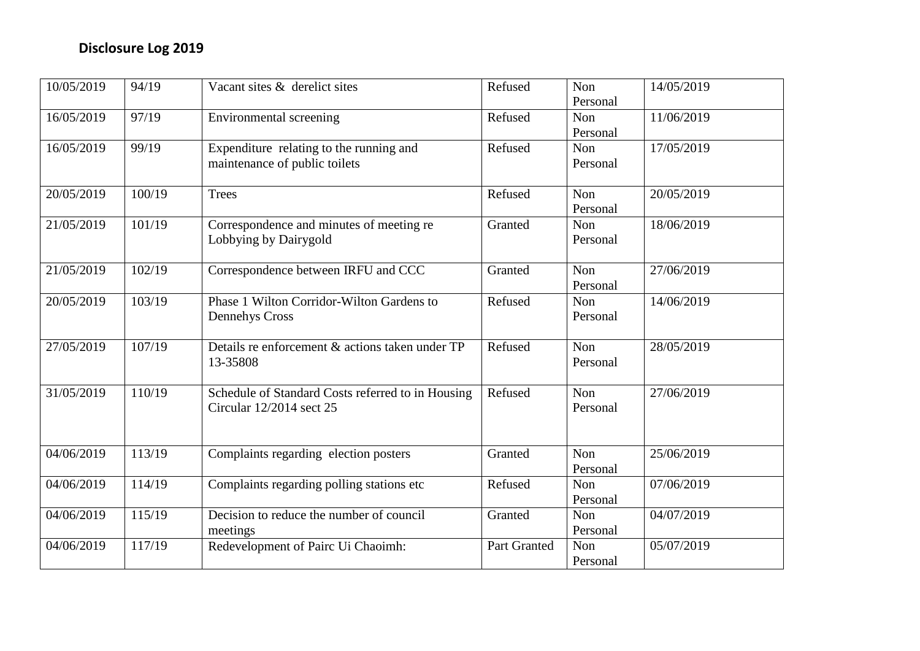| 10/05/2019 | 94/19  | Vacant sites & derelict sites                     | Refused      | Non      | 14/05/2019 |
|------------|--------|---------------------------------------------------|--------------|----------|------------|
|            |        |                                                   |              | Personal |            |
| 16/05/2019 | 97/19  | Environmental screening                           | Refused      | Non      | 11/06/2019 |
|            |        |                                                   |              | Personal |            |
| 16/05/2019 | 99/19  | Expenditure relating to the running and           | Refused      | Non      | 17/05/2019 |
|            |        | maintenance of public toilets                     |              | Personal |            |
|            |        |                                                   |              |          |            |
| 20/05/2019 | 100/19 | <b>Trees</b>                                      | Refused      | Non      | 20/05/2019 |
|            |        |                                                   |              | Personal |            |
| 21/05/2019 | 101/19 | Correspondence and minutes of meeting re          | Granted      | Non      | 18/06/2019 |
|            |        | Lobbying by Dairygold                             |              | Personal |            |
|            |        |                                                   |              |          |            |
| 21/05/2019 | 102/19 | Correspondence between IRFU and CCC               | Granted      | Non      | 27/06/2019 |
|            |        |                                                   |              | Personal |            |
| 20/05/2019 | 103/19 | Phase 1 Wilton Corridor-Wilton Gardens to         | Refused      | Non      | 14/06/2019 |
|            |        | <b>Dennehys Cross</b>                             |              | Personal |            |
|            |        |                                                   |              |          |            |
| 27/05/2019 | 107/19 | Details re enforcement & actions taken under TP   | Refused      | Non      | 28/05/2019 |
|            |        | 13-35808                                          |              | Personal |            |
|            |        |                                                   |              |          |            |
| 31/05/2019 | 110/19 | Schedule of Standard Costs referred to in Housing | Refused      | Non      | 27/06/2019 |
|            |        | Circular 12/2014 sect 25                          |              | Personal |            |
|            |        |                                                   |              |          |            |
|            |        |                                                   |              |          |            |
| 04/06/2019 | 113/19 | Complaints regarding election posters             | Granted      | Non      | 25/06/2019 |
|            |        |                                                   |              | Personal |            |
| 04/06/2019 | 114/19 | Complaints regarding polling stations etc         | Refused      | Non      | 07/06/2019 |
|            |        |                                                   |              | Personal |            |
| 04/06/2019 | 115/19 | Decision to reduce the number of council          | Granted      | Non      | 04/07/2019 |
|            |        | meetings                                          |              | Personal |            |
| 04/06/2019 | 117/19 | Redevelopment of Pairc Ui Chaoimh:                | Part Granted | Non      | 05/07/2019 |
|            |        |                                                   |              | Personal |            |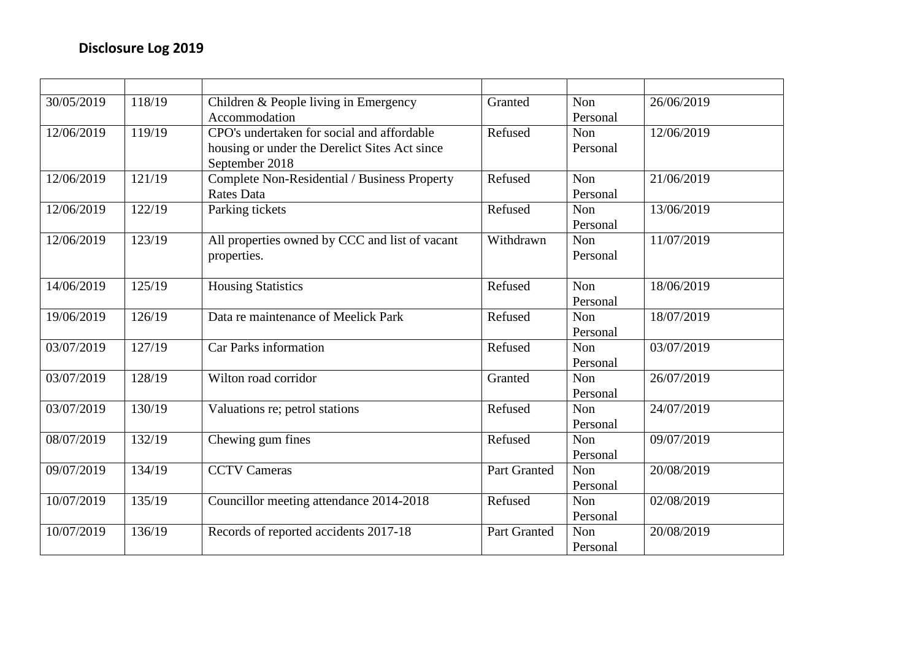| 30/05/2019 | 118/19 | Children & People living in Emergency          | Granted      | Non      | 26/06/2019 |
|------------|--------|------------------------------------------------|--------------|----------|------------|
|            |        | Accommodation                                  |              | Personal |            |
| 12/06/2019 | 119/19 | CPO's undertaken for social and affordable     | Refused      | Non      | 12/06/2019 |
|            |        | housing or under the Derelict Sites Act since  |              | Personal |            |
|            |        | September 2018                                 |              |          |            |
| 12/06/2019 | 121/19 | Complete Non-Residential / Business Property   | Refused      | Non      | 21/06/2019 |
|            |        | <b>Rates Data</b>                              |              | Personal |            |
| 12/06/2019 | 122/19 | Parking tickets                                | Refused      | Non      | 13/06/2019 |
|            |        |                                                |              | Personal |            |
| 12/06/2019 | 123/19 | All properties owned by CCC and list of vacant | Withdrawn    | Non      | 11/07/2019 |
|            |        | properties.                                    |              | Personal |            |
|            |        |                                                |              |          |            |
| 14/06/2019 | 125/19 | <b>Housing Statistics</b>                      | Refused      | Non      | 18/06/2019 |
|            |        |                                                |              | Personal |            |
| 19/06/2019 | 126/19 | Data re maintenance of Meelick Park            | Refused      | Non      | 18/07/2019 |
|            |        |                                                |              | Personal |            |
| 03/07/2019 | 127/19 | Car Parks information                          | Refused      | Non      | 03/07/2019 |
|            |        |                                                |              | Personal |            |
| 03/07/2019 | 128/19 | Wilton road corridor                           | Granted      | Non      | 26/07/2019 |
|            |        |                                                |              | Personal |            |
| 03/07/2019 | 130/19 | Valuations re; petrol stations                 | Refused      | Non      | 24/07/2019 |
|            |        |                                                |              | Personal |            |
| 08/07/2019 | 132/19 | Chewing gum fines                              | Refused      | Non      | 09/07/2019 |
|            |        |                                                |              | Personal |            |
| 09/07/2019 | 134/19 | <b>CCTV Cameras</b>                            | Part Granted | Non      | 20/08/2019 |
|            |        |                                                |              | Personal |            |
| 10/07/2019 | 135/19 | Councillor meeting attendance 2014-2018        | Refused      | Non      | 02/08/2019 |
|            |        |                                                |              | Personal |            |
| 10/07/2019 | 136/19 | Records of reported accidents 2017-18          | Part Granted | Non      | 20/08/2019 |
|            |        |                                                |              | Personal |            |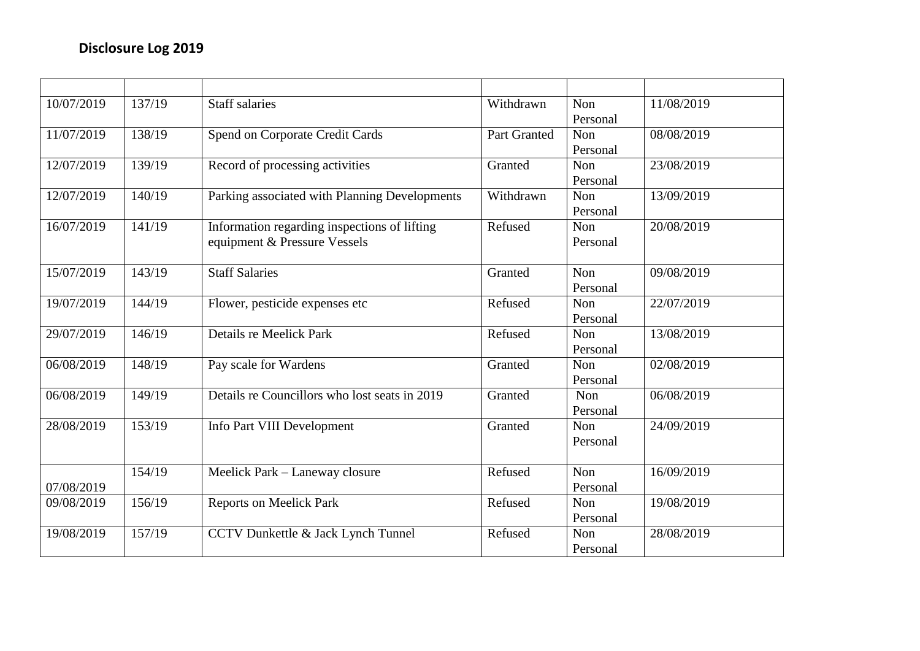| 10/07/2019 | 137/19 | <b>Staff salaries</b>                         | Withdrawn           | Non      | 11/08/2019 |
|------------|--------|-----------------------------------------------|---------------------|----------|------------|
|            |        |                                               |                     | Personal |            |
| 11/07/2019 | 138/19 | Spend on Corporate Credit Cards               | <b>Part Granted</b> | Non      | 08/08/2019 |
|            |        |                                               |                     | Personal |            |
| 12/07/2019 | 139/19 | Record of processing activities               | Granted             | Non      | 23/08/2019 |
|            |        |                                               |                     | Personal |            |
| 12/07/2019 | 140/19 | Parking associated with Planning Developments | Withdrawn           | Non      | 13/09/2019 |
|            |        |                                               |                     | Personal |            |
| 16/07/2019 | 141/19 | Information regarding inspections of lifting  | Refused             | Non      | 20/08/2019 |
|            |        | equipment & Pressure Vessels                  |                     | Personal |            |
|            |        |                                               |                     |          |            |
| 15/07/2019 | 143/19 | <b>Staff Salaries</b>                         | Granted             | Non      | 09/08/2019 |
|            |        |                                               |                     | Personal |            |
| 19/07/2019 | 144/19 | Flower, pesticide expenses etc                | Refused             | Non      | 22/07/2019 |
|            |        |                                               |                     | Personal |            |
| 29/07/2019 | 146/19 | Details re Meelick Park                       | Refused             | Non      | 13/08/2019 |
|            |        |                                               |                     | Personal |            |
| 06/08/2019 | 148/19 | Pay scale for Wardens                         | Granted             | Non      | 02/08/2019 |
|            |        |                                               |                     | Personal |            |
| 06/08/2019 | 149/19 | Details re Councillors who lost seats in 2019 | Granted             | Non      | 06/08/2019 |
|            |        |                                               |                     | Personal |            |
| 28/08/2019 | 153/19 | Info Part VIII Development                    | Granted             | Non      | 24/09/2019 |
|            |        |                                               |                     | Personal |            |
|            |        |                                               |                     |          |            |
|            | 154/19 | Meelick Park - Laneway closure                | Refused             | Non      | 16/09/2019 |
| 07/08/2019 |        |                                               |                     | Personal |            |
| 09/08/2019 | 156/19 | <b>Reports on Meelick Park</b>                | Refused             | Non      | 19/08/2019 |
|            |        |                                               |                     | Personal |            |
| 19/08/2019 | 157/19 | CCTV Dunkettle & Jack Lynch Tunnel            | Refused             | Non      | 28/08/2019 |
|            |        |                                               |                     | Personal |            |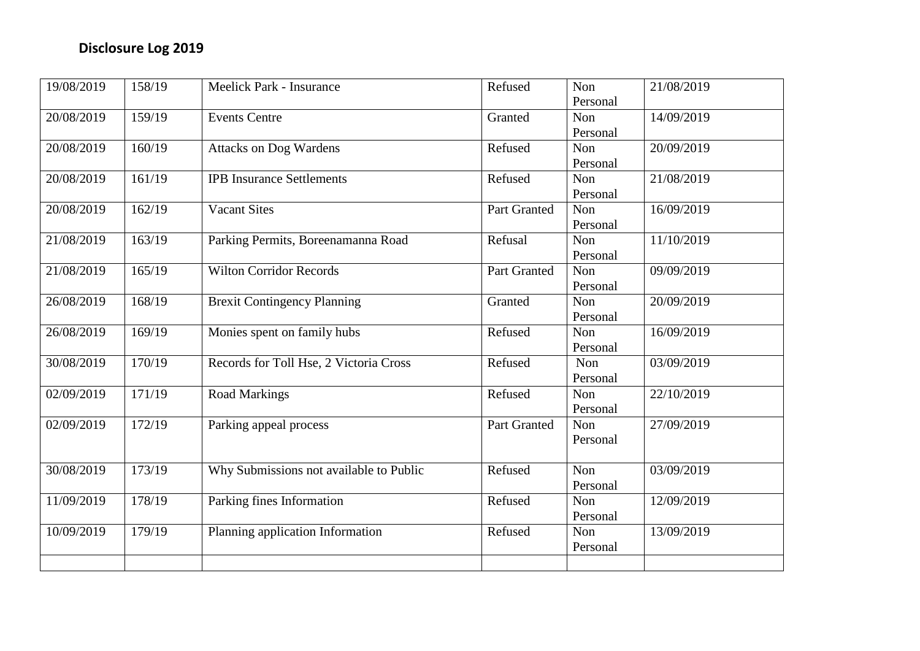| 19/08/2019 | 158/19 | Meelick Park - Insurance                | Refused      | Non        | 21/08/2019 |
|------------|--------|-----------------------------------------|--------------|------------|------------|
|            |        |                                         |              | Personal   |            |
| 20/08/2019 | 159/19 | <b>Events Centre</b>                    | Granted      | Non        | 14/09/2019 |
|            |        |                                         |              | Personal   |            |
| 20/08/2019 | 160/19 | <b>Attacks on Dog Wardens</b>           | Refused      | <b>Non</b> | 20/09/2019 |
|            |        |                                         |              | Personal   |            |
| 20/08/2019 | 161/19 | <b>IPB Insurance Settlements</b>        | Refused      | Non        | 21/08/2019 |
|            |        |                                         |              | Personal   |            |
| 20/08/2019 | 162/19 | <b>Vacant Sites</b>                     | Part Granted | Non        | 16/09/2019 |
|            |        |                                         |              | Personal   |            |
| 21/08/2019 | 163/19 | Parking Permits, Boreenamanna Road      | Refusal      | Non        | 11/10/2019 |
|            |        |                                         |              | Personal   |            |
| 21/08/2019 | 165/19 | <b>Wilton Corridor Records</b>          | Part Granted | Non        | 09/09/2019 |
|            |        |                                         |              | Personal   |            |
| 26/08/2019 | 168/19 | <b>Brexit Contingency Planning</b>      | Granted      | Non        | 20/09/2019 |
|            |        |                                         |              | Personal   |            |
| 26/08/2019 | 169/19 | Monies spent on family hubs             | Refused      | Non        | 16/09/2019 |
|            |        |                                         |              | Personal   |            |
| 30/08/2019 | 170/19 | Records for Toll Hse, 2 Victoria Cross  | Refused      | Non        | 03/09/2019 |
|            |        |                                         |              | Personal   |            |
| 02/09/2019 | 171/19 | <b>Road Markings</b>                    | Refused      | Non        | 22/10/2019 |
|            |        |                                         |              | Personal   |            |
| 02/09/2019 | 172/19 | Parking appeal process                  | Part Granted | Non        | 27/09/2019 |
|            |        |                                         |              | Personal   |            |
|            |        |                                         |              |            |            |
| 30/08/2019 | 173/19 | Why Submissions not available to Public | Refused      | Non        | 03/09/2019 |
|            |        |                                         |              | Personal   |            |
| 11/09/2019 | 178/19 | Parking fines Information               | Refused      | Non        | 12/09/2019 |
|            |        |                                         |              | Personal   |            |
| 10/09/2019 | 179/19 | Planning application Information        | Refused      | Non        | 13/09/2019 |
|            |        |                                         |              | Personal   |            |
|            |        |                                         |              |            |            |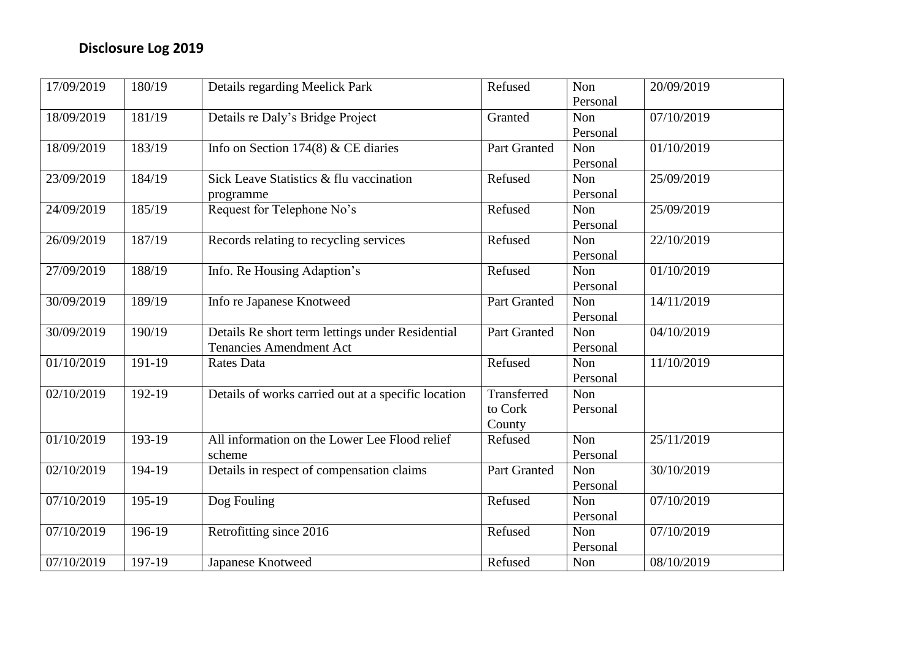| 17/09/2019 | 180/19   | Details regarding Meelick Park                      | Refused             | Non        | 20/09/2019 |
|------------|----------|-----------------------------------------------------|---------------------|------------|------------|
|            |          |                                                     |                     | Personal   |            |
| 18/09/2019 | 181/19   | Details re Daly's Bridge Project                    | Granted             | Non        | 07/10/2019 |
|            |          |                                                     |                     | Personal   |            |
| 18/09/2019 | 183/19   | Info on Section 174(8) & CE diaries                 | <b>Part Granted</b> | Non        | 01/10/2019 |
|            |          |                                                     |                     | Personal   |            |
| 23/09/2019 | 184/19   | Sick Leave Statistics & flu vaccination             | Refused             | Non        | 25/09/2019 |
|            |          | programme                                           |                     | Personal   |            |
| 24/09/2019 | 185/19   | Request for Telephone No's                          | Refused             | Non        | 25/09/2019 |
|            |          |                                                     |                     | Personal   |            |
| 26/09/2019 | 187/19   | Records relating to recycling services              | Refused             | Non        | 22/10/2019 |
|            |          |                                                     |                     | Personal   |            |
| 27/09/2019 | 188/19   | Info. Re Housing Adaption's                         | Refused             | Non        | 01/10/2019 |
|            |          |                                                     |                     | Personal   |            |
| 30/09/2019 | 189/19   | Info re Japanese Knotweed                           | Part Granted        | Non        | 14/11/2019 |
|            |          |                                                     |                     | Personal   |            |
| 30/09/2019 | 190/19   | Details Re short term lettings under Residential    | <b>Part Granted</b> | <b>Non</b> | 04/10/2019 |
|            |          | <b>Tenancies Amendment Act</b>                      |                     | Personal   |            |
| 01/10/2019 | 191-19   | <b>Rates Data</b>                                   | Refused             | Non        | 11/10/2019 |
|            |          |                                                     |                     | Personal   |            |
| 02/10/2019 | 192-19   | Details of works carried out at a specific location | Transferred         | Non        |            |
|            |          |                                                     | to Cork             | Personal   |            |
|            |          |                                                     | County              |            |            |
| 01/10/2019 | 193-19   | All information on the Lower Lee Flood relief       | Refused             | <b>Non</b> | 25/11/2019 |
|            |          | scheme                                              |                     | Personal   |            |
| 02/10/2019 | 194-19   | Details in respect of compensation claims           | Part Granted        | Non        | 30/10/2019 |
|            |          |                                                     |                     | Personal   |            |
| 07/10/2019 | 195-19   | Dog Fouling                                         | Refused             | Non        | 07/10/2019 |
|            |          |                                                     |                     | Personal   |            |
| 07/10/2019 | 196-19   | Retrofitting since 2016                             | Refused             | Non        | 07/10/2019 |
|            |          |                                                     |                     | Personal   |            |
| 07/10/2019 | $197-19$ | Japanese Knotweed                                   | Refused             | Non        | 08/10/2019 |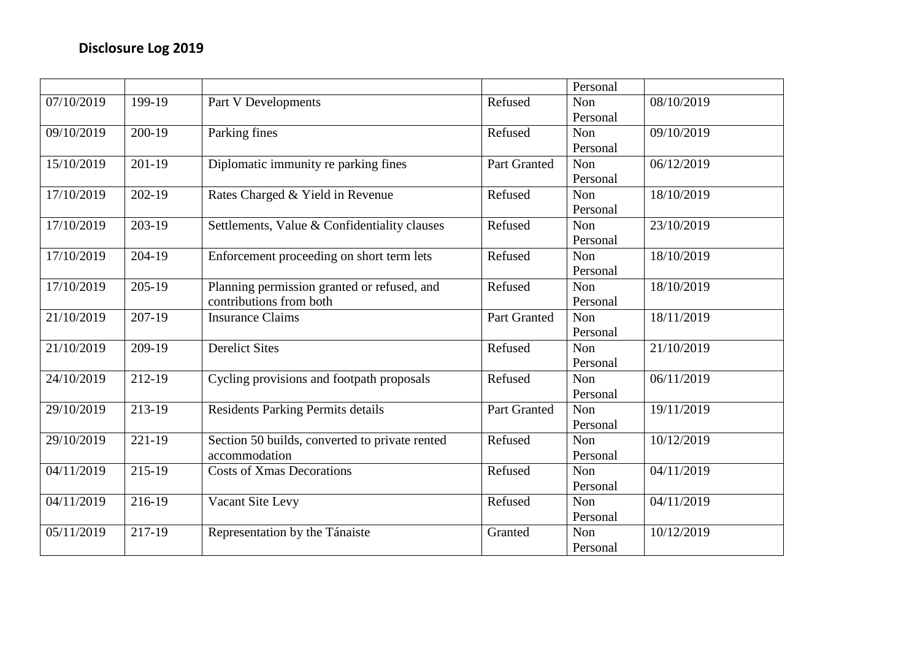|            |                     |                                                |                     | Personal |            |
|------------|---------------------|------------------------------------------------|---------------------|----------|------------|
| 07/10/2019 | 199-19              | Part V Developments                            | Refused             | Non      | 08/10/2019 |
|            |                     |                                                |                     | Personal |            |
| 09/10/2019 | 200-19              | Parking fines                                  | Refused             | Non      | 09/10/2019 |
|            |                     |                                                |                     | Personal |            |
| 15/10/2019 | $201-19$            | Diplomatic immunity re parking fines           | Part Granted        | Non      | 06/12/2019 |
|            |                     |                                                |                     | Personal |            |
| 17/10/2019 | 202-19              | Rates Charged & Yield in Revenue               | Refused             | Non      | 18/10/2019 |
|            |                     |                                                |                     | Personal |            |
| 17/10/2019 | 203-19              | Settlements, Value & Confidentiality clauses   | Refused             | Non      | 23/10/2019 |
|            |                     |                                                |                     | Personal |            |
| 17/10/2019 | 204-19              | Enforcement proceeding on short term lets      | Refused             | Non      | 18/10/2019 |
|            |                     |                                                |                     | Personal |            |
| 17/10/2019 | $205 - 19$          | Planning permission granted or refused, and    | Refused             | Non      | 18/10/2019 |
|            |                     | contributions from both                        |                     | Personal |            |
| 21/10/2019 | $\overline{207-19}$ | <b>Insurance Claims</b>                        | <b>Part Granted</b> | Non      | 18/11/2019 |
|            |                     |                                                |                     | Personal |            |
| 21/10/2019 | 209-19              | <b>Derelict Sites</b>                          | Refused             | Non      | 21/10/2019 |
|            |                     |                                                |                     | Personal |            |
| 24/10/2019 | 212-19              | Cycling provisions and footpath proposals      | Refused             | Non      | 06/11/2019 |
|            |                     |                                                |                     | Personal |            |
| 29/10/2019 | $213-19$            | <b>Residents Parking Permits details</b>       | <b>Part Granted</b> | Non      | 19/11/2019 |
|            |                     |                                                |                     | Personal |            |
| 29/10/2019 | 221-19              | Section 50 builds, converted to private rented | Refused             | Non      | 10/12/2019 |
|            |                     | accommodation                                  |                     | Personal |            |
| 04/11/2019 | 215-19              | <b>Costs of Xmas Decorations</b>               | Refused             | Non      | 04/11/2019 |
|            |                     |                                                |                     | Personal |            |
| 04/11/2019 | 216-19              | Vacant Site Levy                               | Refused             | Non      | 04/11/2019 |
|            |                     |                                                |                     | Personal |            |
| 05/11/2019 | 217-19              | Representation by the Tánaiste                 | Granted             | Non      | 10/12/2019 |
|            |                     |                                                |                     | Personal |            |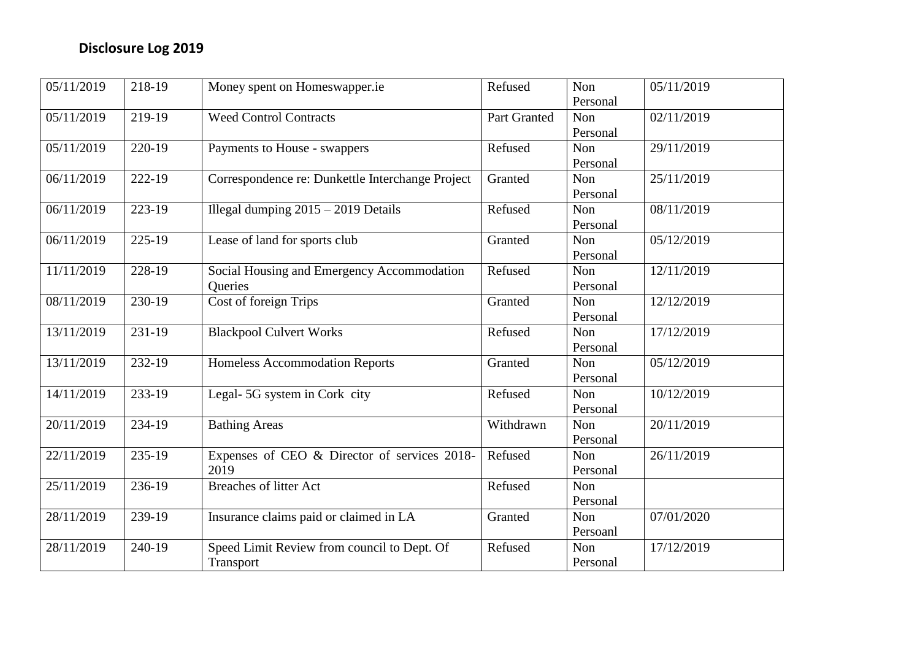| 05/11/2019 | 218-19 | Money spent on Homeswapper.ie                    | Refused      | Non        | 05/11/2019 |
|------------|--------|--------------------------------------------------|--------------|------------|------------|
|            |        |                                                  |              | Personal   |            |
| 05/11/2019 | 219-19 | Weed Control Contracts                           | Part Granted | Non        | 02/11/2019 |
|            |        |                                                  |              | Personal   |            |
| 05/11/2019 | 220-19 | Payments to House - swappers                     | Refused      | Non        | 29/11/2019 |
|            |        |                                                  |              | Personal   |            |
| 06/11/2019 | 222-19 | Correspondence re: Dunkettle Interchange Project | Granted      | Non        | 25/11/2019 |
|            |        |                                                  |              | Personal   |            |
| 06/11/2019 | 223-19 | Illegal dumping $2015 - 2019$ Details            | Refused      | Non        | 08/11/2019 |
|            |        |                                                  |              | Personal   |            |
| 06/11/2019 | 225-19 | Lease of land for sports club                    | Granted      | <b>Non</b> | 05/12/2019 |
|            |        |                                                  |              | Personal   |            |
| 11/11/2019 | 228-19 | Social Housing and Emergency Accommodation       | Refused      | Non        | 12/11/2019 |
|            |        | Queries                                          |              | Personal   |            |
| 08/11/2019 | 230-19 | Cost of foreign Trips                            | Granted      | Non        | 12/12/2019 |
|            |        |                                                  |              | Personal   |            |
| 13/11/2019 | 231-19 | <b>Blackpool Culvert Works</b>                   | Refused      | Non        | 17/12/2019 |
|            |        |                                                  |              | Personal   |            |
| 13/11/2019 | 232-19 | <b>Homeless Accommodation Reports</b>            | Granted      | Non        | 05/12/2019 |
|            |        |                                                  |              | Personal   |            |
| 14/11/2019 | 233-19 | Legal-5G system in Cork city                     | Refused      | Non        | 10/12/2019 |
|            |        |                                                  |              | Personal   |            |
| 20/11/2019 | 234-19 | <b>Bathing Areas</b>                             | Withdrawn    | <b>Non</b> | 20/11/2019 |
|            |        |                                                  |              | Personal   |            |
| 22/11/2019 | 235-19 | Expenses of CEO & Director of services 2018-     | Refused      | Non        | 26/11/2019 |
|            |        | 2019                                             |              | Personal   |            |
| 25/11/2019 | 236-19 | Breaches of litter Act                           | Refused      | Non        |            |
|            |        |                                                  |              | Personal   |            |
| 28/11/2019 | 239-19 | Insurance claims paid or claimed in LA           | Granted      | Non        | 07/01/2020 |
|            |        |                                                  |              | Persoanl   |            |
| 28/11/2019 | 240-19 | Speed Limit Review from council to Dept. Of      | Refused      | Non        | 17/12/2019 |
|            |        | Transport                                        |              | Personal   |            |